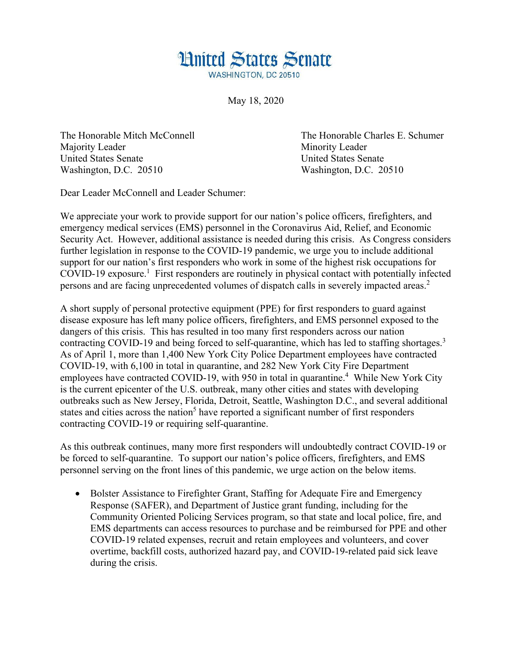

May 18, 2020

Majority Leader Minority Leader United States Senate United States Senate Washington, D.C. 20510 Washington, D.C. 20510

The Honorable Mitch McConnell The Honorable Charles E. Schumer

Dear Leader McConnell and Leader Schumer:

We appreciate your work to provide support for our nation's police officers, firefighters, and emergency medical services (EMS) personnel in the Coronavirus Aid, Relief, and Economic Security Act. However, additional assistance is needed during this crisis. As Congress considers further legislation in response to the COVID-19 pandemic, we urge you to include additional support for our nation's first responders who work in some of the highest risk occupations for COVID-19 exposure.<sup>1</sup> First responders are routinely in physical contact with potentially infected persons and are facing unprecedented volumes of dispatch calls in severely impacted areas.<sup>2</sup>

A short supply of personal protective equipment (PPE) for first responders to guard against disease exposure has left many police officers, firefighters, and EMS personnel exposed to the dangers of this crisis. This has resulted in too many first responders across our nation contracting COVID-19 and being forced to self-quarantine, which has led to staffing shortages.<sup>3</sup> As of April 1, more than 1,400 New York City Police Department employees have contracted COVID-19, with 6,100 in total in quarantine, and 282 New York City Fire Department employees have contracted COVID-19, with 950 in total in quarantine.<sup>4</sup> While New York City is the current epicenter of the U.S. outbreak, many other cities and states with developing outbreaks such as New Jersey, Florida, Detroit, Seattle, Washington D.C., and several additional states and cities across the nation<sup>5</sup> have reported a significant number of first responders contracting COVID-19 or requiring self-quarantine.

As this outbreak continues, many more first responders will undoubtedly contract COVID-19 or be forced to self-quarantine. To support our nation's police officers, firefighters, and EMS personnel serving on the front lines of this pandemic, we urge action on the below items.

• Bolster Assistance to Firefighter Grant, Staffing for Adequate Fire and Emergency Response (SAFER), and Department of Justice grant funding, including for the Community Oriented Policing Services program, so that state and local police, fire, and EMS departments can access resources to purchase and be reimbursed for PPE and other COVID-19 related expenses, recruit and retain employees and volunteers, and cover overtime, backfill costs, authorized hazard pay, and COVID-19-related paid sick leave during the crisis.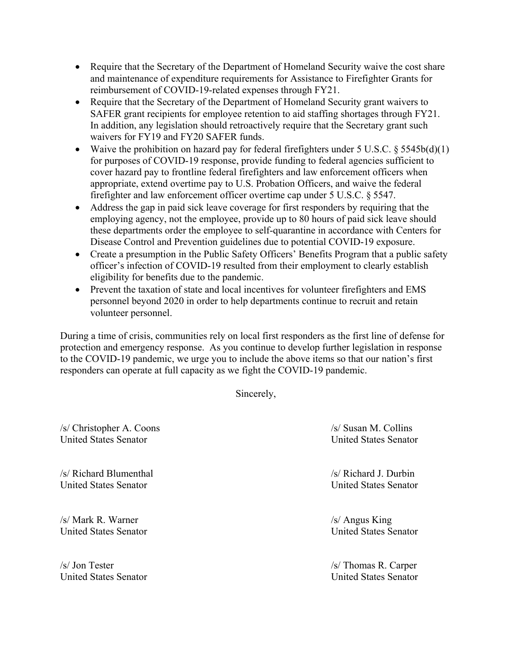- Require that the Secretary of the Department of Homeland Security waive the cost share and maintenance of expenditure requirements for Assistance to Firefighter Grants for reimbursement of COVID-19-related expenses through FY21.
- Require that the Secretary of the Department of Homeland Security grant waivers to SAFER grant recipients for employee retention to aid staffing shortages through FY21. In addition, any legislation should retroactively require that the Secretary grant such waivers for FY19 and FY20 SAFER funds.
- Waive the prohibition on hazard pay for federal firefighters under  $5 \text{ U.S.C.} \$  $5545\text{ b(d)}(1)$ for purposes of COVID-19 response, provide funding to federal agencies sufficient to cover hazard pay to frontline federal firefighters and law enforcement officers when appropriate, extend overtime pay to U.S. Probation Officers, and waive the federal firefighter and law enforcement officer overtime cap under  $5$  U.S.C.  $\S$  5547.
- Address the gap in paid sick leave coverage for first responders by requiring that the employing agency, not the employee, provide up to 80 hours of paid sick leave should these departments order the employee to self-quarantine in accordance with Centers for Disease Control and Prevention guidelines due to potential COVID-19 exposure.
- Create a presumption in the Public Safety Officers' Benefits Program that a public safety officer's infection of COVID-19 resulted from their employment to clearly establish eligibility for benefits due to the pandemic.
- Prevent the taxation of state and local incentives for volunteer firefighters and EMS personnel beyond 2020 in order to help departments continue to recruit and retain volunteer personnel.

During a time of crisis, communities rely on local first responders as the first line of defense for protection and emergency response. As you continue to develop further legislation in response to the COVID-19 pandemic, we urge you to include the above items so that our nation's first responders can operate at full capacity as we fight the COVID-19 pandemic.

Sincerely,

/s/ Christopher A. Coons /s/ Susan M. Collins United States Senator United States Senator

/s/ Richard Blumenthal /s/ Richard J. Durbin United States Senator United States Senator

/s/ Mark R. Warner /s/ Angus King United States Senator United States Senator

/s/ Jon Tester /s/ Thomas R. Carper United States Senator United States Senator